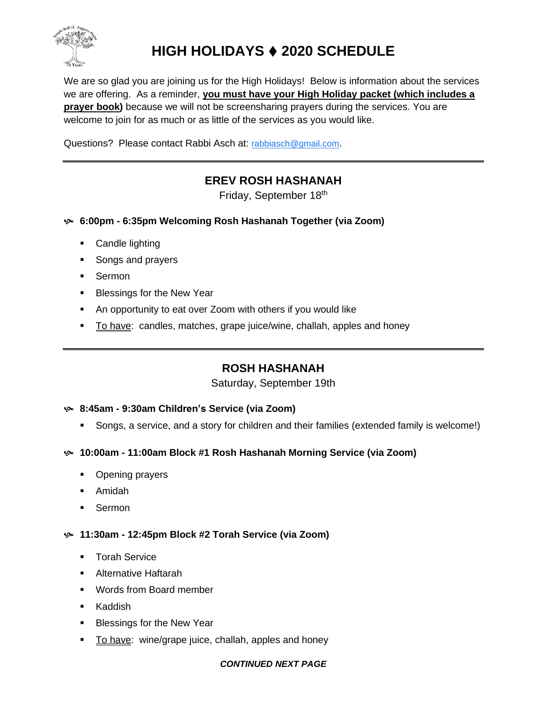

# **HIGH HOLIDAYS** ⧫ **2020 SCHEDULE**

We are so glad you are joining us for the High Holidays! Below is information about the services we are offering. As a reminder, **you must have your High Holiday packet (which includes a prayer book)** because we will not be screensharing prayers during the services. You are welcome to join for as much or as little of the services as you would like.

Questions? Please contact Rabbi Asch at: [rabbiasch@gmail.com](about:blank).

# **EREV ROSH HASHANAH**

Friday, September 18th

- **6:00pm - 6:35pm Welcoming Rosh Hashanah Together (via Zoom)**
	- Candle lighting
	- Songs and prayers
	- Sermon
	- Blessings for the New Year
	- An opportunity to eat over Zoom with others if you would like
	- **EXTED FIGURE:** Candles, matches, grape juice/wine, challah, apples and honey

# **ROSH HASHANAH**

#### Saturday, September 19th

#### **8:45am - 9:30am Children's Service (via Zoom)**

▪ Songs, a service, and a story for children and their families (extended family is welcome!)

#### **10:00am - 11:00am Block #1 Rosh Hashanah Morning Service (via Zoom)**

- Opening prayers
- Amidah
- **Sermon**

#### **11:30am - 12:45pm Block #2 Torah Service (via Zoom)**

- Torah Service
- Alternative Haftarah
- Words from Board member
- Kaddish
- Blessings for the New Year
- To have: wine/grape juice, challah, apples and honey

#### *CONTINUED NEXT PAGE*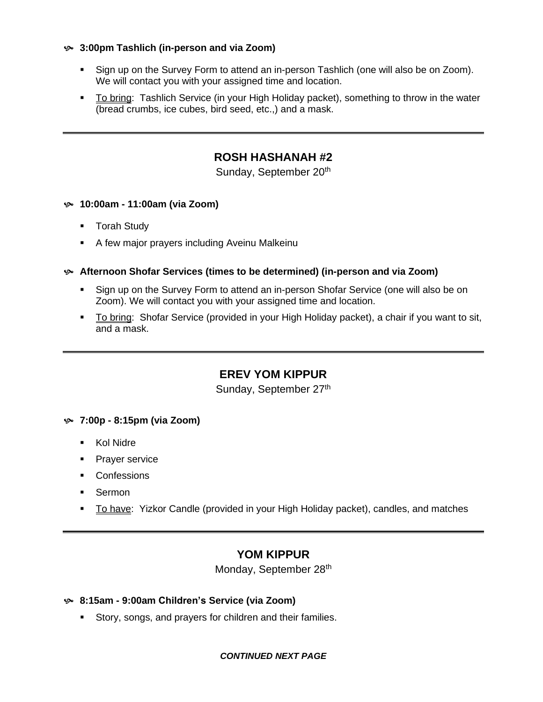#### **3:00pm Tashlich (in-person and via Zoom)**

- Sign up on the Survey Form to attend an in-person Tashlich (one will also be on Zoom). We will contact you with your assigned time and location.
- **To bring: Tashlich Service (in your High Holiday packet), something to throw in the water** (bread crumbs, ice cubes, bird seed, etc.,) and a mask.

# **ROSH HASHANAH #2**

Sunday, September 20<sup>th</sup>

#### **10:00am - 11:00am (via Zoom)**

- Torah Study
- A few major prayers including Aveinu Malkeinu

#### **Afternoon Shofar Services (times to be determined) (in-person and via Zoom)**

- Sign up on the Survey Form to attend an in-person Shofar Service (one will also be on Zoom). We will contact you with your assigned time and location.
- **EXECT** To bring: Shofar Service (provided in your High Holiday packet), a chair if you want to sit, and a mask.

# **EREV YOM KIPPUR**

Sunday, September 27th

#### **7:00p - 8:15pm (via Zoom)**

- Kol Nidre
- **•** Prayer service
- Confessions
- Sermon
- To have: Yizkor Candle (provided in your High Holiday packet), candles, and matches

#### **YOM KIPPUR**

Monday, September 28<sup>th</sup>

#### **8:15am - 9:00am Children's Service (via Zoom)**

■ Story, songs, and prayers for children and their families.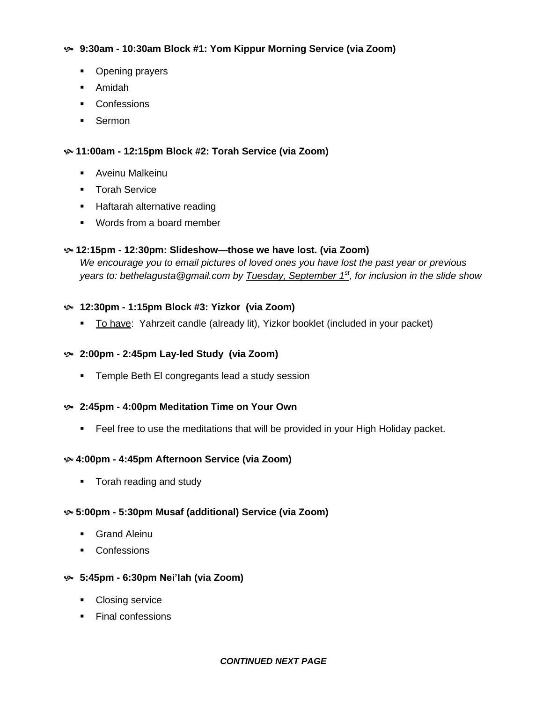#### **9:30am - 10:30am Block #1: Yom Kippur Morning Service (via Zoom)**

- Opening prayers
- Amidah
- Confessions
- Sermon

#### **11:00am - 12:15pm Block #2: Torah Service (via Zoom)**

- Aveinu Malkeinu
- Torah Service
- Haftarah alternative reading
- Words from a board member

#### **12:15pm - 12:30pm: Slideshow—those we have lost. (via Zoom)**

*We encourage you to email pictures of loved ones you have lost the past year or previous years to: bethelagusta@gmail.com by Tuesday, September 1 st , for inclusion in the slide show*

#### **12:30pm - 1:15pm Block #3: Yizkor (via Zoom)**

**To have:** Yahrzeit candle (already lit), Yizkor booklet (included in your packet)

#### **2:00pm - 2:45pm Lay-led Study (via Zoom)**

■ Temple Beth El congregants lead a study session

#### **2:45pm - 4:00pm Meditation Time on Your Own**

■ Feel free to use the meditations that will be provided in your High Holiday packet.

#### **4:00pm - 4:45pm Afternoon Service (via Zoom)**

■ Torah reading and study

#### **5:00pm - 5:30pm Musaf (additional) Service (via Zoom)**

- **•** Grand Aleinu
- Confessions

#### **5:45pm - 6:30pm Nei'lah (via Zoom)**

- Closing service
- Final confessions